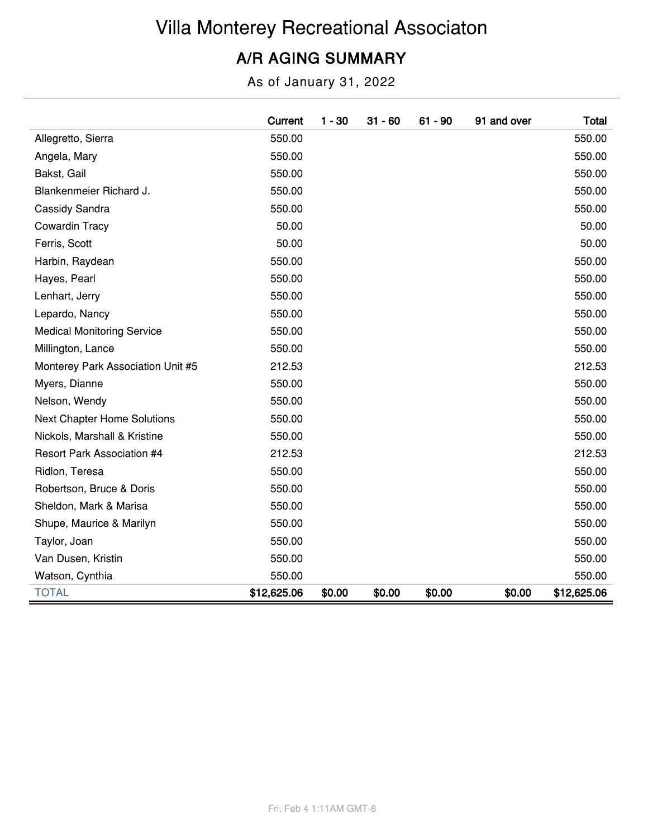# Villa Monterey Recreational Associaton

#### A/R AGING SUMMARY

As of January 31, 2022

|                                    | Current     | $1 - 30$ | $31 - 60$ | $61 - 90$ | 91 and over | Total       |
|------------------------------------|-------------|----------|-----------|-----------|-------------|-------------|
| Allegretto, Sierra                 | 550.00      |          |           |           |             | 550.00      |
| Angela, Mary                       | 550.00      |          |           |           |             | 550.00      |
| Bakst, Gail                        | 550.00      |          |           |           |             | 550.00      |
| Blankenmeier Richard J.            | 550.00      |          |           |           |             | 550.00      |
| Cassidy Sandra                     | 550.00      |          |           |           |             | 550.00      |
| Cowardin Tracy                     | 50.00       |          |           |           |             | 50.00       |
| Ferris, Scott                      | 50.00       |          |           |           |             | 50.00       |
| Harbin, Raydean                    | 550.00      |          |           |           |             | 550.00      |
| Hayes, Pearl                       | 550.00      |          |           |           |             | 550.00      |
| Lenhart, Jerry                     | 550.00      |          |           |           |             | 550.00      |
| Lepardo, Nancy                     | 550.00      |          |           |           |             | 550.00      |
| <b>Medical Monitoring Service</b>  | 550.00      |          |           |           |             | 550.00      |
| Millington, Lance                  | 550.00      |          |           |           |             | 550.00      |
| Monterey Park Association Unit #5  | 212.53      |          |           |           |             | 212.53      |
| Myers, Dianne                      | 550.00      |          |           |           |             | 550.00      |
| Nelson, Wendy                      | 550.00      |          |           |           |             | 550.00      |
| <b>Next Chapter Home Solutions</b> | 550.00      |          |           |           |             | 550.00      |
| Nickols, Marshall & Kristine       | 550.00      |          |           |           |             | 550.00      |
| <b>Resort Park Association #4</b>  | 212.53      |          |           |           |             | 212.53      |
| Ridlon, Teresa                     | 550.00      |          |           |           |             | 550.00      |
| Robertson, Bruce & Doris           | 550.00      |          |           |           |             | 550.00      |
| Sheldon, Mark & Marisa             | 550.00      |          |           |           |             | 550.00      |
| Shupe, Maurice & Marilyn           | 550.00      |          |           |           |             | 550.00      |
| Taylor, Joan                       | 550.00      |          |           |           |             | 550.00      |
| Van Dusen, Kristin                 | 550.00      |          |           |           |             | 550.00      |
| Watson, Cynthia                    | 550.00      |          |           |           |             | 550.00      |
| <b>TOTAL</b>                       | \$12,625.06 | \$0.00   | \$0.00    | \$0.00    | \$0.00      | \$12,625.06 |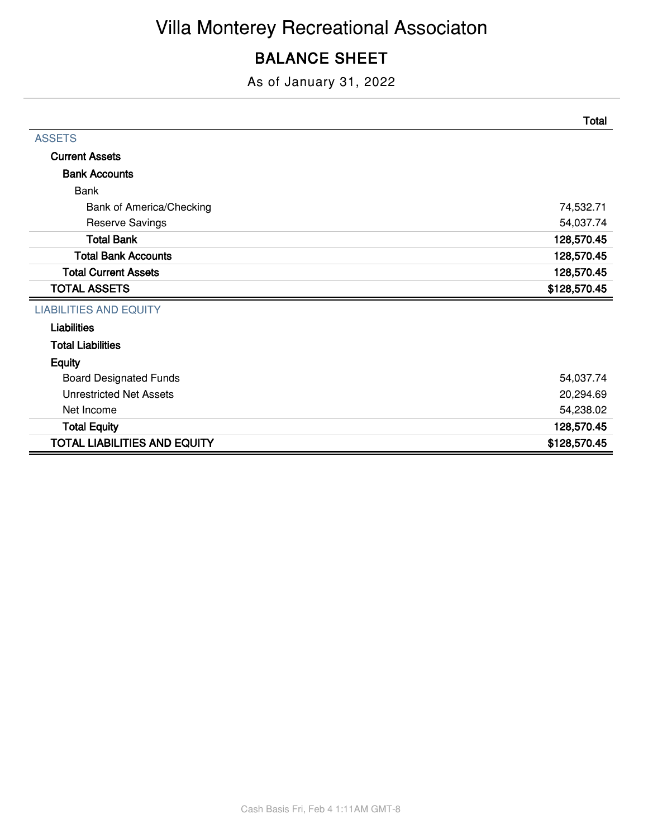#### BALANCE SHEET

As of January 31, 2022

|                                     | <b>Total</b> |
|-------------------------------------|--------------|
| <b>ASSETS</b>                       |              |
| <b>Current Assets</b>               |              |
| <b>Bank Accounts</b>                |              |
| <b>Bank</b>                         |              |
| Bank of America/Checking            | 74,532.71    |
| <b>Reserve Savings</b>              | 54,037.74    |
| <b>Total Bank</b>                   | 128,570.45   |
| <b>Total Bank Accounts</b>          | 128,570.45   |
| <b>Total Current Assets</b>         | 128,570.45   |
| <b>TOTAL ASSETS</b>                 | \$128,570.45 |
| <b>LIABILITIES AND EQUITY</b>       |              |
| <b>Liabilities</b>                  |              |
| <b>Total Liabilities</b>            |              |
| <b>Equity</b>                       |              |
| <b>Board Designated Funds</b>       | 54,037.74    |
| <b>Unrestricted Net Assets</b>      | 20,294.69    |
| Net Income                          | 54,238.02    |
| <b>Total Equity</b>                 | 128,570.45   |
| <b>TOTAL LIABILITIES AND EQUITY</b> | \$128,570.45 |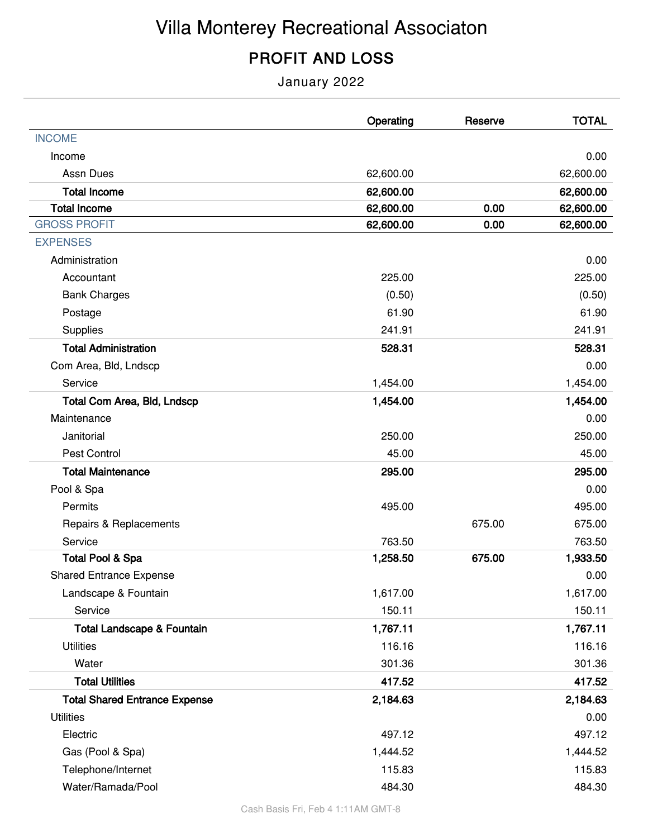# Villa Monterey Recreational Associaton

### PROFIT AND LOSS

January 2022

|                                       | Operating | Reserve | <b>TOTAL</b> |
|---------------------------------------|-----------|---------|--------------|
| <b>INCOME</b>                         |           |         |              |
| Income                                |           |         | 0.00         |
| <b>Assn Dues</b>                      | 62,600.00 |         | 62,600.00    |
| <b>Total Income</b>                   | 62,600.00 |         | 62,600.00    |
| <b>Total Income</b>                   | 62,600.00 | 0.00    | 62,600.00    |
| <b>GROSS PROFIT</b>                   | 62,600.00 | 0.00    | 62,600.00    |
| <b>EXPENSES</b>                       |           |         |              |
| Administration                        |           |         | 0.00         |
| Accountant                            | 225.00    |         | 225.00       |
| <b>Bank Charges</b>                   | (0.50)    |         | (0.50)       |
| Postage                               | 61.90     |         | 61.90        |
| Supplies                              | 241.91    |         | 241.91       |
| <b>Total Administration</b>           | 528.31    |         | 528.31       |
| Com Area, Bld, Lndscp                 |           |         | 0.00         |
| Service                               | 1,454.00  |         | 1,454.00     |
| <b>Total Com Area, Bld, Lndscp</b>    | 1,454.00  |         | 1,454.00     |
| Maintenance                           |           |         | 0.00         |
| Janitorial                            | 250.00    |         | 250.00       |
| Pest Control                          | 45.00     |         | 45.00        |
| <b>Total Maintenance</b>              | 295.00    |         | 295.00       |
| Pool & Spa                            |           |         | 0.00         |
| Permits                               | 495.00    |         | 495.00       |
| Repairs & Replacements                |           | 675.00  | 675.00       |
| Service                               | 763.50    |         | 763.50       |
| <b>Total Pool &amp; Spa</b>           | 1,258.50  | 675.00  | 1,933.50     |
| <b>Shared Entrance Expense</b>        |           |         | 0.00         |
| Landscape & Fountain                  | 1,617.00  |         | 1,617.00     |
| Service                               | 150.11    |         | 150.11       |
| <b>Total Landscape &amp; Fountain</b> | 1,767.11  |         | 1,767.11     |
| <b>Utilities</b>                      | 116.16    |         | 116.16       |
| Water                                 | 301.36    |         | 301.36       |
| <b>Total Utilities</b>                | 417.52    |         | 417.52       |
| <b>Total Shared Entrance Expense</b>  | 2,184.63  |         | 2,184.63     |
| <b>Utilities</b>                      |           |         | 0.00         |
| Electric                              | 497.12    |         | 497.12       |
| Gas (Pool & Spa)                      | 1,444.52  |         | 1,444.52     |
| Telephone/Internet                    | 115.83    |         | 115.83       |
| Water/Ramada/Pool                     | 484.30    |         | 484.30       |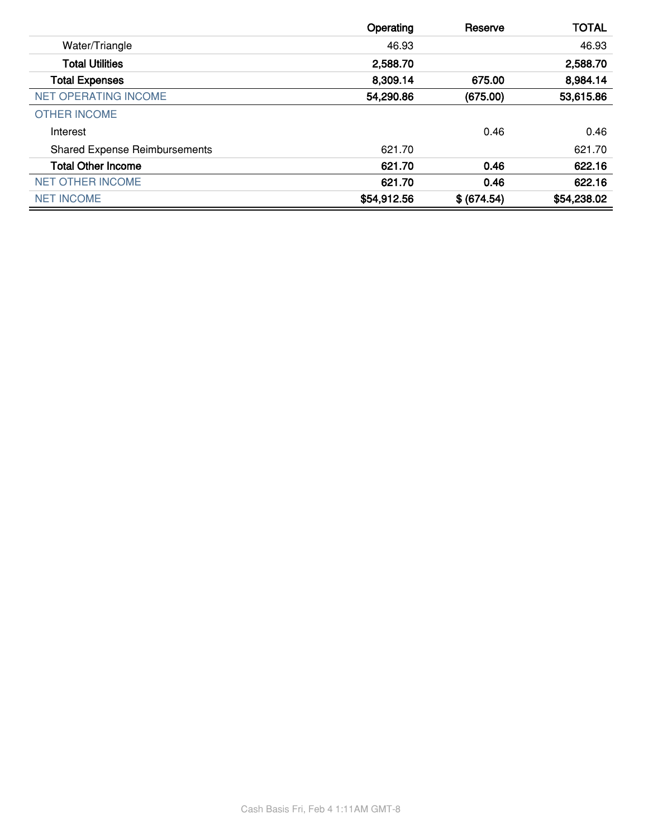|                                      | Operating   | Reserve     | <b>TOTAL</b> |
|--------------------------------------|-------------|-------------|--------------|
| Water/Triangle                       | 46.93       |             | 46.93        |
| <b>Total Utilities</b>               | 2,588.70    |             | 2,588.70     |
| <b>Total Expenses</b>                | 8,309.14    | 675.00      | 8,984.14     |
| <b>NET OPERATING INCOME</b>          | 54,290.86   | (675.00)    | 53,615.86    |
| <b>OTHER INCOME</b>                  |             |             |              |
| Interest                             |             | 0.46        | 0.46         |
| <b>Shared Expense Reimbursements</b> | 621.70      |             | 621.70       |
| <b>Total Other Income</b>            | 621.70      | 0.46        | 622.16       |
| <b>NET OTHER INCOME</b>              | 621.70      | 0.46        | 622.16       |
| <b>NET INCOME</b>                    | \$54,912.56 | \$ (674.54) | \$54,238.02  |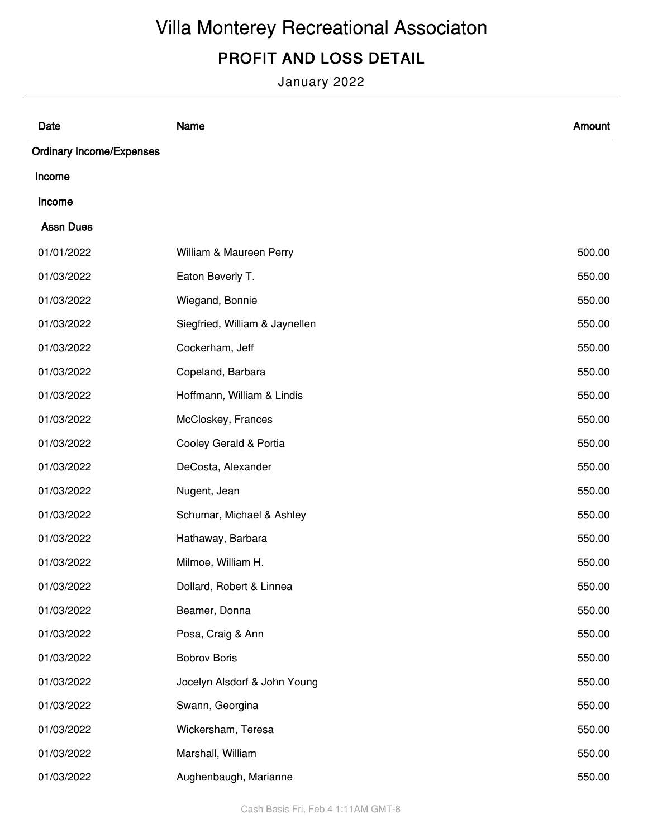# Villa Monterey Recreational Associaton

### PROFIT AND LOSS DETAIL

January 2022

| Date                            | Name                           | Amount |
|---------------------------------|--------------------------------|--------|
| <b>Ordinary Income/Expenses</b> |                                |        |
| Income                          |                                |        |
| Income                          |                                |        |
| <b>Assn Dues</b>                |                                |        |
| 01/01/2022                      | William & Maureen Perry        | 500.00 |
| 01/03/2022                      | Eaton Beverly T.               | 550.00 |
| 01/03/2022                      | Wiegand, Bonnie                | 550.00 |
| 01/03/2022                      | Siegfried, William & Jaynellen | 550.00 |
| 01/03/2022                      | Cockerham, Jeff                | 550.00 |
| 01/03/2022                      | Copeland, Barbara              | 550.00 |
| 01/03/2022                      | Hoffmann, William & Lindis     | 550.00 |
| 01/03/2022                      | McCloskey, Frances             | 550.00 |
| 01/03/2022                      | Cooley Gerald & Portia         | 550.00 |
| 01/03/2022                      | DeCosta, Alexander             | 550.00 |
| 01/03/2022                      | Nugent, Jean                   | 550.00 |
| 01/03/2022                      | Schumar, Michael & Ashley      | 550.00 |
| 01/03/2022                      | Hathaway, Barbara              | 550.00 |
| 01/03/2022                      | Milmoe, William H.             | 550.00 |
| 01/03/2022                      | Dollard, Robert & Linnea       | 550.00 |
| 01/03/2022                      | Beamer, Donna                  | 550.00 |
| 01/03/2022                      | Posa, Craig & Ann              | 550.00 |
| 01/03/2022                      | <b>Bobrov Boris</b>            | 550.00 |
| 01/03/2022                      | Jocelyn Alsdorf & John Young   | 550.00 |
| 01/03/2022                      | Swann, Georgina                | 550.00 |
| 01/03/2022                      | Wickersham, Teresa             | 550.00 |
| 01/03/2022                      | Marshall, William              | 550.00 |
| 01/03/2022                      | Aughenbaugh, Marianne          | 550.00 |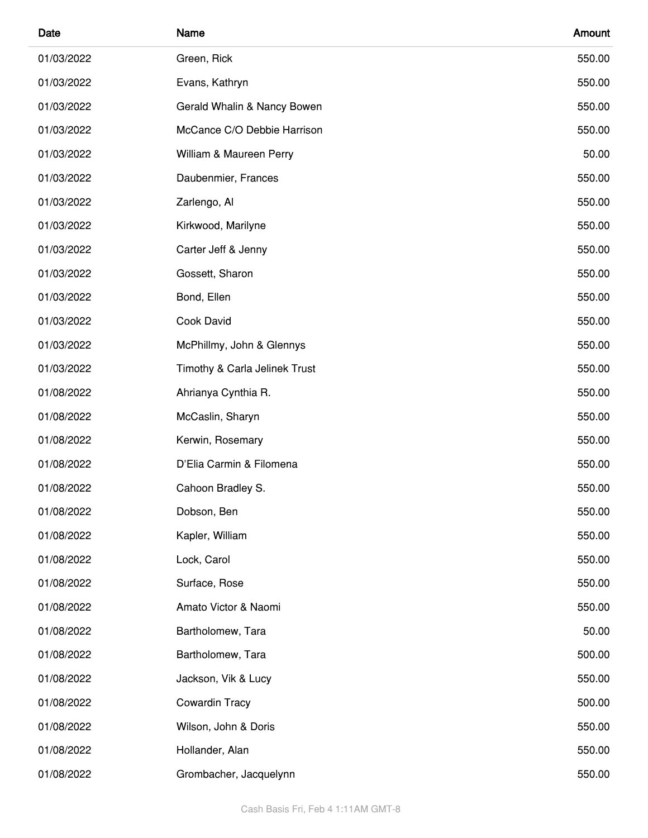| Date       | Name                          | Amount |
|------------|-------------------------------|--------|
| 01/03/2022 | Green, Rick                   | 550.00 |
| 01/03/2022 | Evans, Kathryn                | 550.00 |
| 01/03/2022 | Gerald Whalin & Nancy Bowen   | 550.00 |
| 01/03/2022 | McCance C/O Debbie Harrison   | 550.00 |
| 01/03/2022 | William & Maureen Perry       | 50.00  |
| 01/03/2022 | Daubenmier, Frances           | 550.00 |
| 01/03/2022 | Zarlengo, Al                  | 550.00 |
| 01/03/2022 | Kirkwood, Marilyne            | 550.00 |
| 01/03/2022 | Carter Jeff & Jenny           | 550.00 |
| 01/03/2022 | Gossett, Sharon               | 550.00 |
| 01/03/2022 | Bond, Ellen                   | 550.00 |
| 01/03/2022 | Cook David                    | 550.00 |
| 01/03/2022 | McPhillmy, John & Glennys     | 550.00 |
| 01/03/2022 | Timothy & Carla Jelinek Trust | 550.00 |
| 01/08/2022 | Ahrianya Cynthia R.           | 550.00 |
| 01/08/2022 | McCaslin, Sharyn              | 550.00 |
| 01/08/2022 | Kerwin, Rosemary              | 550.00 |
| 01/08/2022 | D'Elia Carmin & Filomena      | 550.00 |
| 01/08/2022 | Cahoon Bradley S.             | 550.00 |
| 01/08/2022 | Dobson, Ben                   | 550.00 |
| 01/08/2022 | Kapler, William               | 550.00 |
| 01/08/2022 | Lock, Carol                   | 550.00 |
| 01/08/2022 | Surface, Rose                 | 550.00 |
| 01/08/2022 | Amato Victor & Naomi          | 550.00 |
| 01/08/2022 | Bartholomew, Tara             | 50.00  |
| 01/08/2022 | Bartholomew, Tara             | 500.00 |
| 01/08/2022 | Jackson, Vik & Lucy           | 550.00 |
| 01/08/2022 | Cowardin Tracy                | 500.00 |
| 01/08/2022 | Wilson, John & Doris          | 550.00 |
| 01/08/2022 | Hollander, Alan               | 550.00 |
| 01/08/2022 | Grombacher, Jacquelynn        | 550.00 |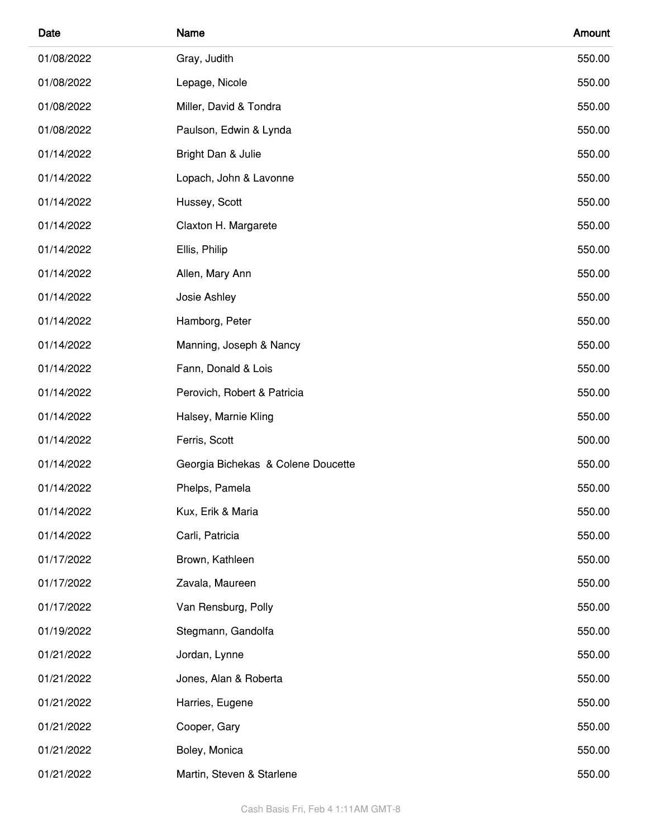| Date       | Name                               | Amount |
|------------|------------------------------------|--------|
| 01/08/2022 | Gray, Judith                       | 550.00 |
| 01/08/2022 | Lepage, Nicole                     | 550.00 |
| 01/08/2022 | Miller, David & Tondra             | 550.00 |
| 01/08/2022 | Paulson, Edwin & Lynda             | 550.00 |
| 01/14/2022 | Bright Dan & Julie                 | 550.00 |
| 01/14/2022 | Lopach, John & Lavonne             | 550.00 |
| 01/14/2022 | Hussey, Scott                      | 550.00 |
| 01/14/2022 | Claxton H. Margarete               | 550.00 |
| 01/14/2022 | Ellis, Philip                      | 550.00 |
| 01/14/2022 | Allen, Mary Ann                    | 550.00 |
| 01/14/2022 | Josie Ashley                       | 550.00 |
| 01/14/2022 | Hamborg, Peter                     | 550.00 |
| 01/14/2022 | Manning, Joseph & Nancy            | 550.00 |
| 01/14/2022 | Fann, Donald & Lois                | 550.00 |
| 01/14/2022 | Perovich, Robert & Patricia        | 550.00 |
| 01/14/2022 | Halsey, Marnie Kling               | 550.00 |
| 01/14/2022 | Ferris, Scott                      | 500.00 |
| 01/14/2022 | Georgia Bichekas & Colene Doucette | 550.00 |
| 01/14/2022 | Phelps, Pamela                     | 550.00 |
| 01/14/2022 | Kux, Erik & Maria                  | 550.00 |
| 01/14/2022 | Carli, Patricia                    | 550.00 |
| 01/17/2022 | Brown, Kathleen                    | 550.00 |
| 01/17/2022 | Zavala, Maureen                    | 550.00 |
| 01/17/2022 | Van Rensburg, Polly                | 550.00 |
| 01/19/2022 | Stegmann, Gandolfa                 | 550.00 |
| 01/21/2022 | Jordan, Lynne                      | 550.00 |
| 01/21/2022 | Jones, Alan & Roberta              | 550.00 |
| 01/21/2022 | Harries, Eugene                    | 550.00 |
| 01/21/2022 | Cooper, Gary                       | 550.00 |
| 01/21/2022 | Boley, Monica                      | 550.00 |
| 01/21/2022 | Martin, Steven & Starlene          | 550.00 |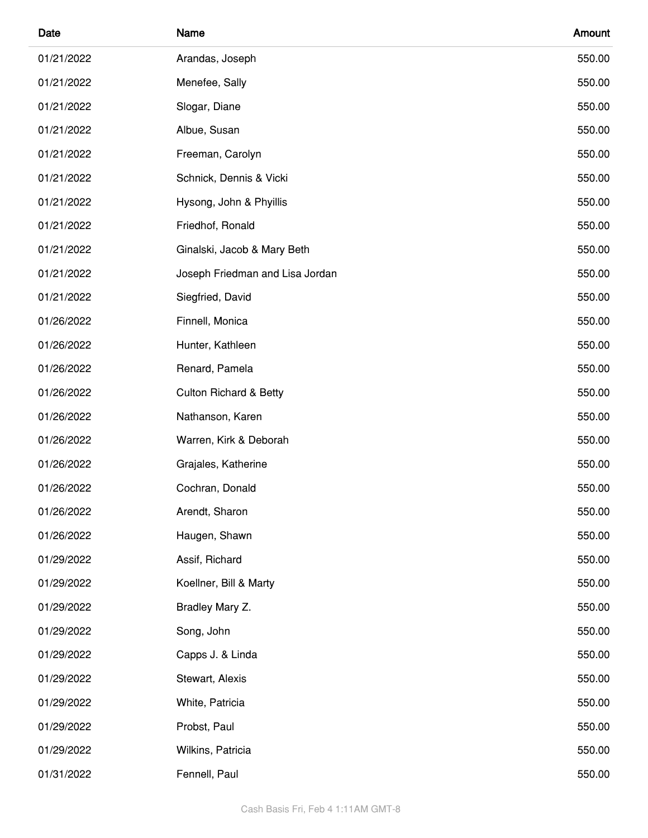| Date       | Name                              | Amount |
|------------|-----------------------------------|--------|
| 01/21/2022 | Arandas, Joseph                   | 550.00 |
| 01/21/2022 | Menefee, Sally                    | 550.00 |
| 01/21/2022 | Slogar, Diane                     | 550.00 |
| 01/21/2022 | Albue, Susan                      | 550.00 |
| 01/21/2022 | Freeman, Carolyn                  | 550.00 |
| 01/21/2022 | Schnick, Dennis & Vicki           | 550.00 |
| 01/21/2022 | Hysong, John & Phyillis           | 550.00 |
| 01/21/2022 | Friedhof, Ronald                  | 550.00 |
| 01/21/2022 | Ginalski, Jacob & Mary Beth       | 550.00 |
| 01/21/2022 | Joseph Friedman and Lisa Jordan   | 550.00 |
| 01/21/2022 | Siegfried, David                  | 550.00 |
| 01/26/2022 | Finnell, Monica                   | 550.00 |
| 01/26/2022 | Hunter, Kathleen                  | 550.00 |
| 01/26/2022 | Renard, Pamela                    | 550.00 |
| 01/26/2022 | <b>Culton Richard &amp; Betty</b> | 550.00 |
| 01/26/2022 | Nathanson, Karen                  | 550.00 |
| 01/26/2022 | Warren, Kirk & Deborah            | 550.00 |
| 01/26/2022 | Grajales, Katherine               | 550.00 |
| 01/26/2022 | Cochran, Donald                   | 550.00 |
| 01/26/2022 | Arendt, Sharon                    | 550.00 |
| 01/26/2022 | Haugen, Shawn                     | 550.00 |
| 01/29/2022 | Assif, Richard                    | 550.00 |
| 01/29/2022 | Koellner, Bill & Marty            | 550.00 |
| 01/29/2022 | Bradley Mary Z.                   | 550.00 |
| 01/29/2022 | Song, John                        | 550.00 |
| 01/29/2022 | Capps J. & Linda                  | 550.00 |
| 01/29/2022 | Stewart, Alexis                   | 550.00 |
| 01/29/2022 | White, Patricia                   | 550.00 |
| 01/29/2022 | Probst, Paul                      | 550.00 |
| 01/29/2022 | Wilkins, Patricia                 | 550.00 |
| 01/31/2022 | Fennell, Paul                     | 550.00 |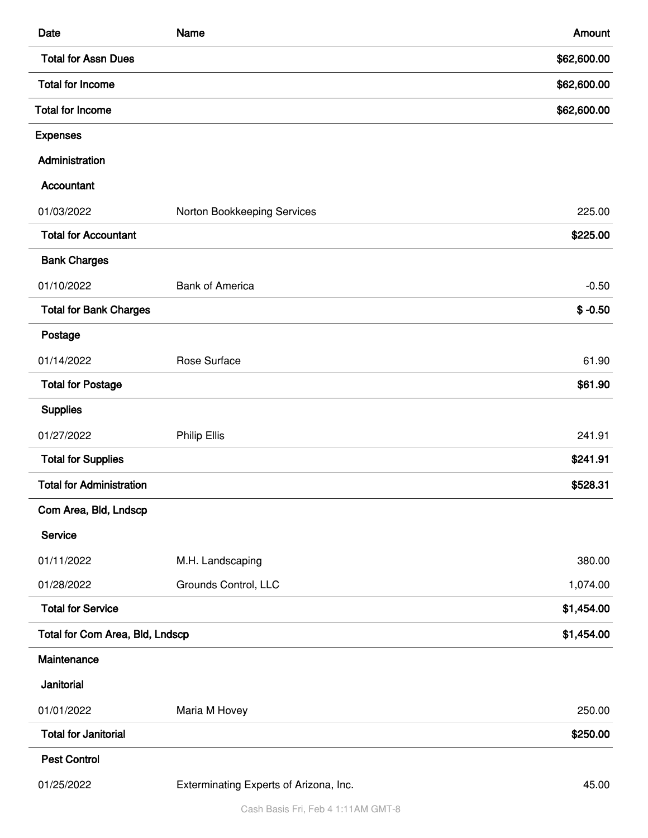| Date                            | Name                                   | Amount      |
|---------------------------------|----------------------------------------|-------------|
| <b>Total for Assn Dues</b>      |                                        | \$62,600.00 |
| <b>Total for Income</b>         |                                        | \$62,600.00 |
| <b>Total for Income</b>         |                                        | \$62,600.00 |
| <b>Expenses</b>                 |                                        |             |
| Administration                  |                                        |             |
| Accountant                      |                                        |             |
| 01/03/2022                      | Norton Bookkeeping Services            | 225.00      |
| <b>Total for Accountant</b>     |                                        | \$225.00    |
| <b>Bank Charges</b>             |                                        |             |
| 01/10/2022                      | <b>Bank of America</b>                 | $-0.50$     |
| <b>Total for Bank Charges</b>   |                                        | $$ -0.50$   |
| Postage                         |                                        |             |
| 01/14/2022                      | Rose Surface                           | 61.90       |
| <b>Total for Postage</b>        |                                        | \$61.90     |
| <b>Supplies</b>                 |                                        |             |
| 01/27/2022                      | <b>Philip Ellis</b>                    | 241.91      |
| <b>Total for Supplies</b>       |                                        | \$241.91    |
| <b>Total for Administration</b> |                                        | \$528.31    |
| Com Area, Bld, Lndscp           |                                        |             |
| Service                         |                                        |             |
| 01/11/2022                      | M.H. Landscaping                       | 380.00      |
| 01/28/2022                      | Grounds Control, LLC                   | 1,074.00    |
| <b>Total for Service</b>        |                                        | \$1,454.00  |
| Total for Com Area, Bld, Lndscp |                                        | \$1,454.00  |
| Maintenance                     |                                        |             |
| Janitorial                      |                                        |             |
| 01/01/2022                      | Maria M Hovey                          | 250.00      |
| <b>Total for Janitorial</b>     |                                        | \$250.00    |
| <b>Pest Control</b>             |                                        |             |
| 01/25/2022                      | Exterminating Experts of Arizona, Inc. | 45.00       |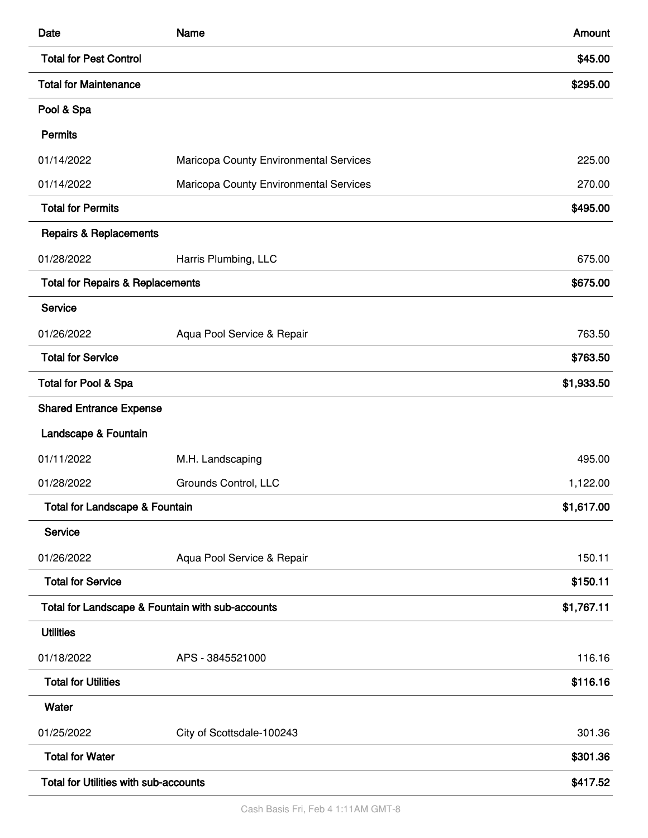| Date                                         | Name                                             | Amount     |
|----------------------------------------------|--------------------------------------------------|------------|
| <b>Total for Pest Control</b>                |                                                  | \$45.00    |
| <b>Total for Maintenance</b>                 |                                                  | \$295.00   |
| Pool & Spa                                   |                                                  |            |
| <b>Permits</b>                               |                                                  |            |
| 01/14/2022                                   | Maricopa County Environmental Services           | 225.00     |
| 01/14/2022                                   | Maricopa County Environmental Services           | 270.00     |
| <b>Total for Permits</b>                     |                                                  | \$495.00   |
| <b>Repairs &amp; Replacements</b>            |                                                  |            |
| 01/28/2022                                   | Harris Plumbing, LLC                             | 675.00     |
| <b>Total for Repairs &amp; Replacements</b>  |                                                  | \$675.00   |
| Service                                      |                                                  |            |
| 01/26/2022                                   | Aqua Pool Service & Repair                       | 763.50     |
| <b>Total for Service</b>                     |                                                  | \$763.50   |
| Total for Pool & Spa                         |                                                  | \$1,933.50 |
| <b>Shared Entrance Expense</b>               |                                                  |            |
| Landscape & Fountain                         |                                                  |            |
| 01/11/2022                                   | M.H. Landscaping                                 | 495.00     |
| 01/28/2022                                   | Grounds Control, LLC                             | 1,122.00   |
| <b>Total for Landscape &amp; Fountain</b>    |                                                  | \$1,617.00 |
| Service                                      |                                                  |            |
| 01/26/2022                                   | Aqua Pool Service & Repair                       | 150.11     |
| <b>Total for Service</b>                     |                                                  | \$150.11   |
|                                              | Total for Landscape & Fountain with sub-accounts | \$1,767.11 |
| <b>Utilities</b>                             |                                                  |            |
| 01/18/2022                                   | APS - 3845521000                                 | 116.16     |
| <b>Total for Utilities</b>                   |                                                  | \$116.16   |
| Water                                        |                                                  |            |
| 01/25/2022                                   | City of Scottsdale-100243                        | 301.36     |
| <b>Total for Water</b>                       |                                                  | \$301.36   |
| <b>Total for Utilities with sub-accounts</b> |                                                  | \$417.52   |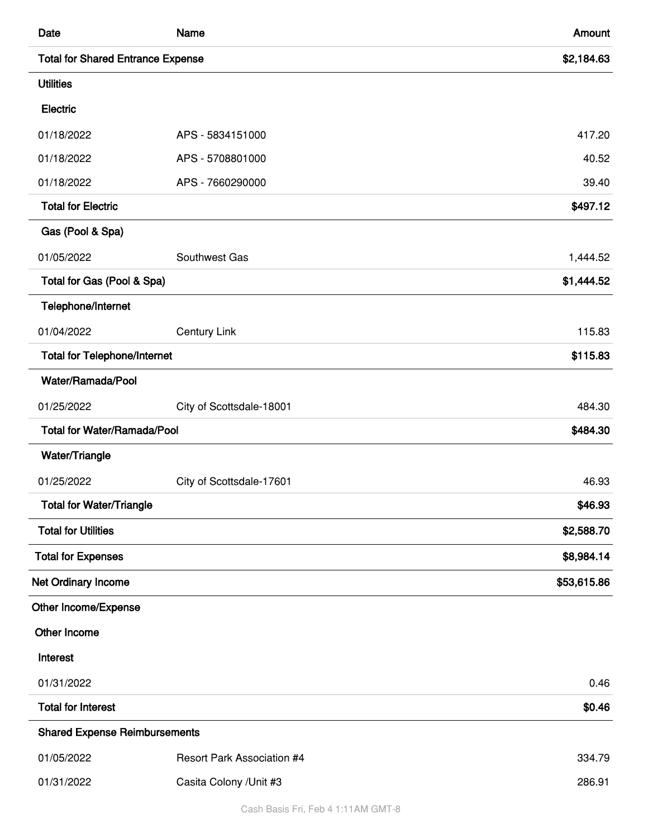| Date                                     | <b>Name</b>                       | Amount      |
|------------------------------------------|-----------------------------------|-------------|
| <b>Total for Shared Entrance Expense</b> |                                   | \$2,184.63  |
| <b>Utilities</b>                         |                                   |             |
| Electric                                 |                                   |             |
| 01/18/2022                               | APS - 5834151000                  | 417.20      |
| 01/18/2022                               | APS - 5708801000                  | 40.52       |
| 01/18/2022                               | APS - 7660290000                  | 39.40       |
| <b>Total for Electric</b>                |                                   | \$497.12    |
| Gas (Pool & Spa)                         |                                   |             |
| 01/05/2022                               | Southwest Gas                     | 1,444.52    |
| Total for Gas (Pool & Spa)               |                                   | \$1,444.52  |
| Telephone/Internet                       |                                   |             |
| 01/04/2022                               | <b>Century Link</b>               | 115.83      |
| <b>Total for Telephone/Internet</b>      |                                   | \$115.83    |
| Water/Ramada/Pool                        |                                   |             |
| 01/25/2022                               | City of Scottsdale-18001          | 484.30      |
| <b>Total for Water/Ramada/Pool</b>       |                                   | \$484.30    |
| Water/Triangle                           |                                   |             |
| 01/25/2022                               | City of Scottsdale-17601          | 46.93       |
| <b>Total for Water/Triangle</b>          |                                   | \$46.93     |
| <b>Total for Utilities</b>               |                                   | \$2,588.70  |
| <b>Total for Expenses</b>                |                                   | \$8,984.14  |
| Net Ordinary Income                      |                                   | \$53,615.86 |
| Other Income/Expense                     |                                   |             |
| Other Income                             |                                   |             |
| Interest                                 |                                   |             |
| 01/31/2022                               |                                   | 0.46        |
| <b>Total for Interest</b>                |                                   | \$0.46      |
| <b>Shared Expense Reimbursements</b>     |                                   |             |
| 01/05/2022                               | <b>Resort Park Association #4</b> | 334.79      |
| 01/31/2022                               | Casita Colony / Unit #3           | 286.91      |

Cash Basis Fri, Feb 4 1:11AM GMT-8